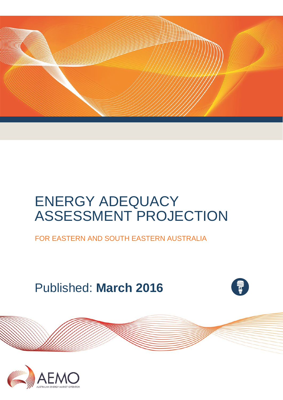

# ENERGY ADEQUACY ASSESSMENT PROJECTION

FOR EASTERN AND SOUTH EASTERN AUSTRALIA

Published: **March 2016**



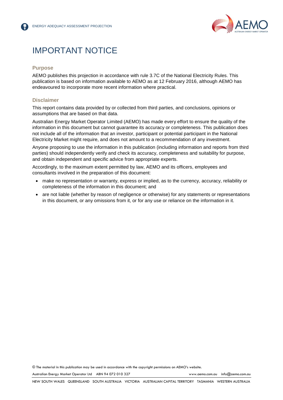

### IMPORTANT NOTICE

#### **Purpose**

AEMO publishes this projection in accordance with rule 3.7C of the National Electricity Rules. This publication is based on information available to AEMO as at 12 February 2016, although AEMO has endeavoured to incorporate more recent information where practical.

#### **Disclaimer**

This report contains data provided by or collected from third parties, and conclusions, opinions or assumptions that are based on that data.

Australian Energy Market Operator Limited (AEMO) has made every effort to ensure the quality of the information in this document but cannot guarantee its accuracy or completeness. This publication does not include all of the information that an investor, participant or potential participant in the National Electricity Market might require, and does not amount to a recommendation of any investment.

Anyone proposing to use the information in this publication (including information and reports from third parties) should independently verify and check its accuracy, completeness and suitability for purpose, and obtain independent and specific advice from appropriate experts.

Accordingly, to the maximum extent permitted by law, AEMO and its officers, employees and consultants involved in the preparation of this document:

- make no representation or warranty, express or implied, as to the currency, accuracy, reliability or completeness of the information in this document; and
- are not liable (whether by reason of negligence or otherwise) for any statements or representations in this document, or any omissions from it, or for any use or reliance on the information in it.

© The material in this publication may be used in accordance with th[e copyright permissions](http://www.aemo.com.au/en/About-AEMO/Copyright-Permissions) on AEMO's website.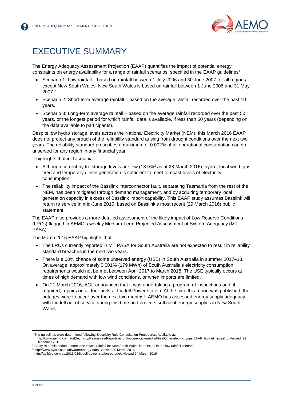

### <span id="page-2-0"></span>EXECUTIVE SUMMARY

The Energy Adequacy Assessment Projection (EAAP) quantifies the impact of potential energy constraints on energy availability for a range of rainfall scenarios, specified in the EAAP guidelines<sup>1</sup>:

- Scenario 1: Low rainfall based on rainfall between 1 July 2006 and 30 June 2007 for all regions except New South Wales. New South Wales is based on rainfall between 1 June 2006 and 31 May 2007.<sup>2</sup>
- Scenario 2: Short-term average rainfall based on the average rainfall recorded over the past 10 years.
- Scenario 3: Long-term average rainfall based on the average rainfall recorded over the past 50 years, or the longest period for which rainfall data is available, if less than 50 years (depending on the data available to participants).

Despite low hydro storage levels across the National Electricity Market (NEM), this March 2016 EAAP does not project any breach of the reliability standard arising from drought conditions over the next two years. The reliability standard prescribes a maximum of 0.002% of all operational consumption can go unserved for any region in any financial year.

It highlights that in Tasmania:

- $\bullet$  Although current hydro storage levels are low (13.9%<sup>3</sup> as at 28 March 2016), hydro, local wind, gas fired and temporary diesel generation is sufficient to meet forecast levels of electricity consumption.
- The reliability impact of the Basslink Interconnector fault, separating Tasmania from the rest of the NEM, has been mitigated through demand management, and by acquiring temporary local generation capacity in excess of Basslink import capability. This EAAP study assumes Basslink will return to service in mid-June 2016, based on Basslink's most recent (29 March 2016) public statement.

The EAAP also provides a more detailed assessment of the likely impact of Low Reserve Conditions (LRCs) flagged in AEMO's weekly Medium Term Projected Assessment of System Adequacy (MT PASA).

The March 2016 EAAP highlights that:

- The LRCs currently reported in MT PASA for South Australia are not expected to result in reliability standard breaches in the next two years.
- There is a 30% chance of some unserved energy (USE) in South Australia in summer 2017–18. On average, approximately 0.001% (179 MWh) of South Australia's electricity consumption requirements would not be met between April 2017 to March 2018. The USE typically occurs at times of high demand with low wind conditions, or when imports are limited.
- On 21 March 2016, AGL announced that it was undertaking a program of inspections and, if required, repairs on all four units at Liddell Power station. At the time this report was published, the outages were to occur over the next two months<sup>4</sup>. AEMO has assessed energy supply adequacy with Liddell out of service during this time and projects sufficient energy supplies in New South Wales.

l <sup>1</sup> The guidelines were determined following Electricity Rule Consultation Procedures. Available at:

[http://www.aemo.com.au/Electricity/Resources/Reports-and-Documents/~/media/Files/Other/electricityops/EAAP\\_Guidelines.ashx.](http://www.aemo.com.au/Electricity/Resources/Reports-and-Documents/~/media/Files/Other/electricityops/EAAP_Guidelines.ashx) Viewed: 22 December 2015.

<sup>&</sup>lt;sup>2</sup> Analysis of this period ensures the lowest rainfall for New South Wales is reflected in the low rainfall scenario.

<sup>3</sup> http://www.hydro.com.au/water/energy-data, Viewed 30 March 2016.

<sup>4</sup> http://aglblog.com.au/2016/03/liddell-power-station-outage/, Viewed 24 March 2016.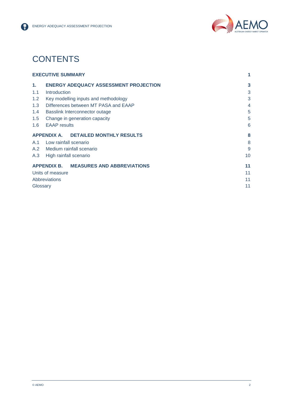

### **CONTENTS**

|     | <b>EXECUTIVE SUMMARY</b>                     | 1  |
|-----|----------------------------------------------|----|
| 1.  | <b>ENERGY ADEQUACY ASSESSMENT PROJECTION</b> | 3  |
| 1.1 | Introduction                                 | 3  |
| 1.2 | Key modelling inputs and methodology         | 3  |
| 1.3 | Differences between MT PASA and EAAP         | 4  |
| 1.4 | Basslink Interconnector outage               | 5  |
| 1.5 | Change in generation capacity                | 5  |
| 1.6 | <b>EAAP</b> results                          | 6  |
|     | APPENDIX A. DETAILED MONTHLY RESULTS         | 8  |
| A.1 | Low rainfall scenario                        | 8  |
| A.2 | Medium rainfall scenario                     | 9  |
| A.3 | High rainfall scenario                       | 10 |
|     | APPENDIX B. MEASURES AND ABBREVIATIONS       | 11 |
|     | Units of measure                             | 11 |
|     | Abbreviations                                | 11 |
|     | Glossary                                     | 11 |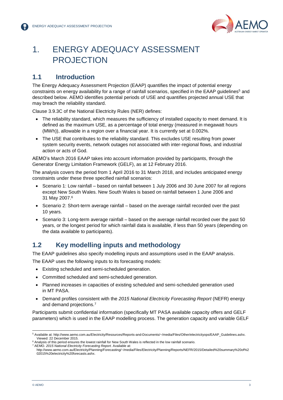

### <span id="page-4-0"></span>1. ENERGY ADEQUACY ASSESSMENT PROJECTION

#### <span id="page-4-1"></span>**1.1 Introduction**

The Energy Adequacy Assessment Projection (EAAP) quantifies the impact of potential energy constraints on energy availability for a range of rainfall scenarios, specified in the EAAP guidelines<sup>5</sup> and described below. AEMO identifies potential periods of USE and quantifies projected annual USE that may breach the reliability standard.

Clause 3.9.3C of the National Electricity Rules (NER) defines:

- The reliability standard, which measures the sufficiency of installed capacity to meet demand. It is defined as the maximum USE, as a percentage of total energy (measured in megawatt hours (MWh)), allowable in a region over a financial year. It is currently set at 0.002%.
- The USE that contributes to the reliability standard. This excludes USE resulting from power system security events, network outages not associated with inter-regional flows, and industrial action or acts of God.

AEMO's March 2016 EAAP takes into account information provided by participants, through the Generator Energy Limitation Framework (GELF), as at 12 February 2016.

The analysis covers the period from 1 April 2016 to 31 March 2018, and includes anticipated energy constraints under these three specified rainfall scenarios:

- Scenario 1: Low rainfall based on rainfall between 1 July 2006 and 30 June 2007 for all regions except New South Wales. New South Wales is based on rainfall between 1 June 2006 and 31 May 2007.<sup>6</sup>
- Scenario 2: Short-term average rainfall based on the average rainfall recorded over the past 10 years.
- Scenario 3: Long-term average rainfall based on the average rainfall recorded over the past 50 years, or the longest period for which rainfall data is available, if less than 50 years (depending on the data available to participants).

#### <span id="page-4-2"></span>**1.2 Key modelling inputs and methodology**

The EAAP guidelines also specify modelling inputs and assumptions used in the EAAP analysis.

The EAAP uses the following inputs to its forecasting models:

- Existing scheduled and semi-scheduled generation.
- Committed scheduled and semi-scheduled generation.
- Planned increases in capacities of existing scheduled and semi-scheduled generation used in MT PASA.
- Demand profiles consistent with the *2015 National Electricity Forecasting Report* (NEFR) energy and demand projections.<sup>7</sup>

Participants submit confidential information (specifically MT PASA available capacity offers and GELF parameters) which is used in the EAAP modelling process. The generation capacity and variable GELF

l

<sup>5</sup> Available at[: http://www.aemo.com.au/Electricity/Resources/Reports-and-Documents/~/media/Files/Other/electricityops/EAAP\\_Guidelines.ashx.](http://www.aemo.com.au/Electricity/Resources/Reports-and-Documents/~/media/Files/Other/electricityops/EAAP_Guidelines.ashx) Viewed: 22 December 2015.

<sup>6</sup> Analysis of this period ensures the lowest rainfall for New South Wales is reflected in the low rainfall scenario. <sup>7</sup> AEMO. *2015 National Electricity Forecasting Report.* Available at:

http://www.aemo.com.au/Electricity/Planning/Forecasting/~/media/Files/Electricity/Planning/Reports/NEFR/2015/Detailed%20summary%20of%2 02015%20electricity%20forecasts.ashx.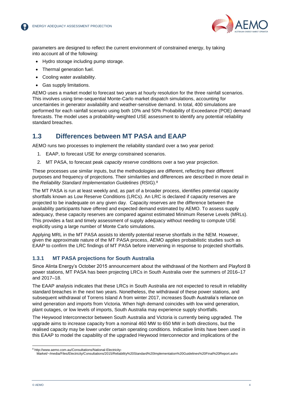

parameters are designed to reflect the current environment of constrained energy, by taking into account all of the following:

- Hydro storage including pump storage.
- Thermal generation fuel.
- Cooling water availability.
- Gas supply limitations.

AEMO uses a market model to forecast two years at hourly resolution for the three rainfall scenarios. This involves using time-sequential Monte-Carlo market dispatch simulations, accounting for uncertainties in generator availability and weather-sensitive demand. In total, 400 simulations are performed for each rainfall scenario using both 10% and 50% Probability of Exceedance (POE) demand forecasts. The model uses a probability-weighted USE assessment to identify any potential reliability standard breaches.

#### <span id="page-5-0"></span>**1.3 Differences between MT PASA and EAAP**

AEMO runs two processes to implement the reliability standard over a two year period:

- 1. EAAP, to forecast USE for *energy* constrained scenarios.
- 2. MT PASA, to forecast peak *capacity reserve* conditions over a two year projection.

These processes use similar inputs, but the methodologies are different, reflecting their different purposes and frequency of projections. Their similarities and differences are described in more detail in the *Reliability Standard Implementation Guidelines* (RSIG). 8

The MT PASA is run at least weekly and, as part of a broader process, identifies potential capacity shortfalls known as Low Reserve Conditions (LRCs). An LRC is declared if capacity reserves are projected to be inadequate on any given day. Capacity reserves are the difference between the availability participants have offered and expected demand estimated by AEMO. To assess supply adequacy, these capacity reserves are compared against estimated Minimum Reserve Levels (MRLs). This provides a fast and timely assessment of supply adequacy without needing to compute USE explicitly using a large number of Monte Carlo simulations.

Applying MRL in the MT PASA assists to identify potential reserve shortfalls in the NEM. However, given the approximate nature of the MT PASA process, AEMO applies probabilistic studies such as EAAP to confirm the LRC findings of MT PASA before intervening in response to projected shortfalls.

#### **1.3.1 MT PASA projections for South Australia**

Since Alinta Energy's October 2015 announcement about the withdrawal of the Northern and Playford B power stations, MT PASA has been projecting LRCs in South Australia over the summers of 2016–17 and 2017–18.

The EAAP analysis indicates that these LRCs in South Australia are not expected to result in reliability standard breaches in the next two years. Nonetheless, the withdrawal of these power stations, and subsequent withdrawal of Torrens Island A from winter 2017, increases South Australia's reliance on wind generation and imports from Victoria. When high demand coincides with low wind generation, plant outages, or low levels of imports, South Australia may experience supply shortfalls.

The Heywood Interconnector between South Australia and Victoria is currently being upgraded. The upgrade aims to increase capacity from a nominal 460 MW to 650 MW in both directions, but the realised capacity may be lower under certain operating conditions. Indicative limits have been used in this EAAP to model the capability of the upgraded Heywood Interconnector and implications of the

l <sup>8</sup> http://www.aemo.com.au/Consultations/National-Electricity-

Market/~/media/Files/Electricity/Consultations/2015/Reliability%20Standard%20Implementation%20Guidelines%20Final%20Report.ashx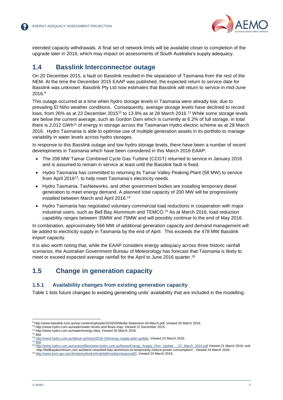

intended capacity withdrawals. A final set of network limits will be available closer to completion of the upgrade later in 2016, which may impact on assessments of South Australia's supply adequacy.

#### <span id="page-6-0"></span>**1.4 Basslink Interconnector outage**

On 20 December 2015, a fault on Basslink resulted in the separation of Tasmania from the rest of the NEM. At the time the December 2015 EAAP was published, the expected return to service date for Basslink was unknown. Basslink Pty Ltd now estimates that Basslink will return to service in mid-June 2016.<sup>9</sup>

This outage occurred at a time when hydro storage levels in Tasmania were already low, due to prevailing El Niño weather conditions. Consequently, average storage levels have declined to record lows, from 26% as at 22 December 2015 $^{10}$  to 13.9% as at 28 March 2016. $^{11}$  While some storage levels are below the current average, such as Gordon Dam which is currently at 6.2% of full storage, in total there is 2,012 GWh<sup>12</sup> of energy in storage across the Tasmanian Hydro electric scheme as at 28 March 2016. Hydro Tasmania is able to optimise use of multiple generation assets in its portfolio to manage variability in water levels across hydro storages.

In response to this Basslink outage and low hydro storage levels, there have been a number of recent developments in Tasmania which have been considered in this March 2016 EAAP:

- The 208 MW Tamar Combined Cycle Gas Turbine (CCGT) returned to service in January 2016 and is assumed to remain in service at least until the Basslink fault is fixed.
- Hydro Tasmania has committed to returning its Tamar Valley Peaking Plant (58 MW) to service from April 2016<sup>13</sup>, to help meet Tasmania's electricity needs.
- Hydro Tasmania, TasNetworks, and other government bodies are installing temporary diesel generation to meet energy demand. A planned total capacity of 200 MW will be progressively installed between March and April 2016.<sup>14</sup>
- Hydro Tasmania has negotiated voluntary commercial load reductions in cooperation with major industrial users, such as Bell Bay Aluminium and TEMCO. <sup>15</sup> As at March 2016, load reduction capability ranges between 35MW and 75MW and will possibly continue to the end of May 2016.

In combination, approximately 566 MW of additional generation capacity and demand management will be added to electricity supply in Tasmania by the end of April. This exceeds the 478 MW Basslink import capacity.

It is also worth noting that, while the EAAP considers energy adequacy across three historic rainfall scenarios, the Australian Government Bureau of Meteorology has forecast that Tasmania is likely to meet or exceed expected average rainfall for the April to June 2016 quarter.<sup>16</sup>

#### <span id="page-6-1"></span>**1.5 Change in generation capacity**

#### **1.5.1 Availability changes from existing generation capacity**

Table 1 lists future changes to existing generating units' availability that are included in the modelling.

l

<sup>9</sup> http://www.basslink.com.au/wp-content/uploads/2016/03/Media-Statement-29-March.pdf, Viewed 30 March 2016.

<sup>10</sup> [http://www.hydro.com.au/water/water-levels-and-flows-map,](http://www.hydro.com.au/water/water-levels-and-flows-map) Viewed 22 December 2015.

<sup>11</sup> http://www.hydro.com.au/water/energy-data, Viewed 30 March 2016.

<sup>12</sup> Ibid

<sup>13</sup> [http://www.hydro.com.au/about-us/news/2016-03/energy-supply-plan-update,](http://www.hydro.com.au/about-us/news/2016-03/energy-supply-plan-update) Viewed 23 March 2016.  $14$   $\overline{lbid}$ 

<sup>15</sup> [http://www.hydro.com.au/system/files/www.hydro.com.au/News/Energy\\_Supply\\_Plan\\_Update\\_-\\_07\\_March\\_2016.pdf](http://www.hydro.com.au/system/files/www.hydro.com.au/News/Energy_Supply_Plan_Update_-_07_March_2016.pdf) Viewed 21 March 2016; and http://bellbayaluminium.com.au/latest-news/bell-bay-aluminium-to-temporarily-reduce-power-consumption/ , Viewed 24 March 2016.

<sup>16</sup> [http://www.bom.gov.au/climate/outlooks/#/rainfall/median/seasonal/0,](http://www.bom.gov.au/climate/outlooks/#/rainfall/median/seasonal/0) Viewed 24 March 2016.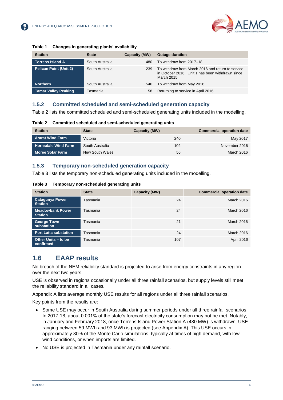

| <b>Station</b>                | <b>State</b>    | Capacity (MW) | <b>Outage duration</b>                                                                                               |  |  |  |
|-------------------------------|-----------------|---------------|----------------------------------------------------------------------------------------------------------------------|--|--|--|
| <b>Torrens Island A</b>       | South Australia | 480           | To withdraw from 2017-18                                                                                             |  |  |  |
| <b>Pelican Point (Unit 2)</b> | South Australia | 239           | To withdraw from March 2016 and return to service<br>in October 2016. Unit 1 has been withdrawn since<br>March 2015. |  |  |  |
| <b>Northern</b>               | South Australia | 546           | To withdraw from May 2016.                                                                                           |  |  |  |
| <b>Tamar Valley Peaking</b>   | Tasmania        | 58            | Returning to service in April 2016                                                                                   |  |  |  |

#### **Table 1 Changes in generating plants' availability**

#### **1.5.2 Committed scheduled and semi-scheduled generation capacity**

Table 2 lists the committed scheduled and semi-scheduled generating units included in the modelling.

**Table 2 Committed scheduled and semi-scheduled generating units**

| <b>Station</b>             | <b>State</b>    | <b>Capacity (MW)</b> | <b>Commercial operation date</b> |
|----------------------------|-----------------|----------------------|----------------------------------|
| <b>Ararat Wind Farm</b>    | Victoria        | 240                  | May 2017                         |
| <b>Hornsdale Wind Farm</b> | South Australia | 102                  | November 2016                    |
| <b>Moree Solar Farm</b>    | New South Wales | 56                   | March 2016                       |

#### **1.5.3 Temporary non-scheduled generation capacity**

Table 3 lists the temporary non-scheduled generating units included in the modelling.

**Table 3 Temporary non-scheduled generating units**

| <b>Station</b>                            | <b>State</b> | Capacity (MW) | <b>Commercial operation date</b> |
|-------------------------------------------|--------------|---------------|----------------------------------|
| <b>Catagunya Power</b><br><b>Station</b>  | Tasmania     | 24            | <b>March 2016</b>                |
| <b>Meadowbank Power</b><br><b>Station</b> | Tasmania     | 24            | March 2016                       |
| <b>George Town</b><br>substation          | Tasmania     | 21            | March 2016                       |
| <b>Port Latta substation</b>              | Tasmania     | 24            | March 2016                       |
| Other Units - to be<br>confirmed          | Tasmania     | 107           | April 2016                       |

#### <span id="page-7-0"></span>**1.6 EAAP results**

No breach of the NEM reliability standard is projected to arise from energy constraints in any region over the next two years.

USE is observed in regions occasionally under all three rainfall scenarios, but supply levels still meet the reliability standard in all cases*.* 

Appendix A lists average monthly USE results for all regions under all three rainfall scenarios.

Key points from the results are:

- Some USE may occur in South Australia during summer periods under all three rainfall scenarios. In 2017-18, about 0.001% of the state's forecast electricity consumption may not be met. Notably, in January and February 2018, once Torrens Island Power Station A (480 MW) is withdrawn, USE ranging between 59 MWh and 93 MWh is projected (see [Appendix A\)](#page-9-0). This USE occurs in approximately 30% of the Monte Carlo simulations, typically at times of high demand, with low wind conditions, or when imports are limited.
- No USE is projected in Tasmania under any rainfall scenario.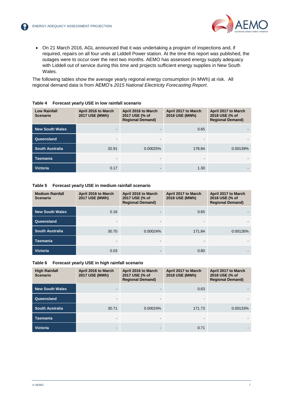

 On 21 March 2016, AGL announced that it was undertaking a program of inspections and, if required, repairs on all four units at Liddell Power station. At the time this report was published, the outages were to occur over the next two months. AEMO has assessed energy supply adequacy with Liddell out of service during this time and projects sufficient energy supplies in New South Wales.

The following tables show the average yearly regional energy consumption (in MWh) at risk. All regional demand data is from AEMO's *2015 National Electricity Forecasting Report*.

| <b>Low Rainfall</b><br><b>Scenario</b> | April 2016 to March<br>2017 USE (MWh) | April 2016 to March<br>2017 USE (% of<br><b>Regional Demand)</b> | April 2017 to March<br>2018 USE (MWh) | April 2017 to March<br>2018 USE (% of<br><b>Regional Demand)</b> |
|----------------------------------------|---------------------------------------|------------------------------------------------------------------|---------------------------------------|------------------------------------------------------------------|
| <b>New South Wales</b>                 | -                                     |                                                                  | 0.65                                  |                                                                  |
| Queensland                             | -                                     | . .                                                              |                                       |                                                                  |
| <b>South Australia</b>                 | 32.91                                 | 0.00025%                                                         | 178.84                                | 0.00139%                                                         |
| <b>Tasmania</b>                        | ۰.                                    | . .                                                              | $\overline{\phantom{0}}$              |                                                                  |
| <b>Victoria</b>                        | 0.17                                  | ۰.                                                               | 1.30                                  |                                                                  |

#### **Table 4 Forecast yearly USE in low rainfall scenario**

**Table 5 Forecast yearly USE in medium rainfall scenario**

| <b>Medium Rainfall</b><br>Scenario | April 2016 to March<br>2017 USE (MWh) | April 2016 to March<br>2017 USE (% of<br><b>Regional Demand)</b> | April 2017 to March<br>2018 USE (MWh) | April 2017 to March<br>2018 USE (% of<br><b>Regional Demand)</b> |
|------------------------------------|---------------------------------------|------------------------------------------------------------------|---------------------------------------|------------------------------------------------------------------|
| <b>New South Wales</b>             | 0.16                                  |                                                                  | 0.65                                  |                                                                  |
| Queensland                         | ۰                                     |                                                                  | $\blacksquare$                        |                                                                  |
| <b>South Australia</b>             | 30.70                                 | 0.00024%                                                         | 171.84                                | 0.00126%                                                         |
| <b>Tasmania</b>                    | ۰                                     |                                                                  | $\overline{\phantom{a}}$              |                                                                  |
| <b>Victoria</b>                    | 0.03                                  |                                                                  | 0.80                                  |                                                                  |

#### **Table 6 Forecast yearly USE in high rainfall scenario**

| <b>High Rainfall</b><br><b>Scenario</b> | April 2016 to March<br>2017 USE (MWh) | April 2016 to March<br>2017 USE (% of<br><b>Regional Demand)</b> | April 2017 to March<br>2018 USE (MWh) | April 2017 to March<br>2018 USE (% of<br><b>Regional Demand)</b> |
|-----------------------------------------|---------------------------------------|------------------------------------------------------------------|---------------------------------------|------------------------------------------------------------------|
| <b>New South Wales</b>                  |                                       |                                                                  | 0.63                                  |                                                                  |
| Queensland                              | ۰.                                    |                                                                  |                                       |                                                                  |
| <b>South Australia</b>                  | 30.71                                 | 0.00024%                                                         | 171.73                                | 0.00133%                                                         |
| <b>Tasmania</b>                         |                                       |                                                                  |                                       |                                                                  |
| <b>Victoria</b>                         | -                                     |                                                                  | 0.71                                  |                                                                  |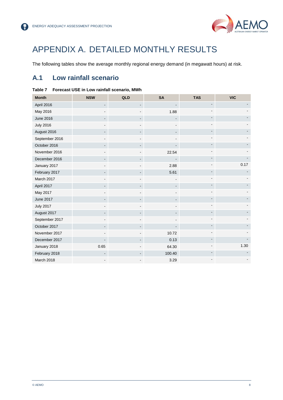

### <span id="page-9-0"></span>APPENDIX A. DETAILED MONTHLY RESULTS

The following tables show the average monthly regional energy demand (in megawatt hours) at risk.

#### <span id="page-9-1"></span>**A.1 Low rainfall scenario**

| <b>Month</b>     | <b>NSW</b> | QLD                      | <b>SA</b> | <b>TAS</b>               | <b>VIC</b> |
|------------------|------------|--------------------------|-----------|--------------------------|------------|
| April 2016       |            |                          |           |                          |            |
| May 2016         |            |                          | 1.88      |                          |            |
| <b>June 2016</b> |            |                          |           |                          |            |
| <b>July 2016</b> |            |                          |           |                          |            |
| August 2016      |            |                          |           |                          |            |
| September 2016   |            |                          |           |                          |            |
| October 2016     |            |                          |           |                          |            |
| November 2016    |            |                          | 22.54     |                          |            |
| December 2016    |            |                          |           |                          |            |
| January 2017     |            |                          | 2.88      |                          | 0.17       |
| February 2017    |            |                          | 5.61      |                          |            |
| March 2017       |            |                          |           |                          |            |
| April 2017       |            |                          |           |                          |            |
| May 2017         |            |                          |           |                          |            |
| <b>June 2017</b> |            |                          |           |                          |            |
| <b>July 2017</b> |            |                          |           |                          |            |
| August 2017      |            | $\overline{\phantom{a}}$ |           |                          |            |
| September 2017   |            |                          |           |                          |            |
| October 2017     |            | $\blacksquare$           |           | $\overline{\phantom{a}}$ |            |
| November 2017    |            | $\blacksquare$           | 10.72     | $\overline{\phantom{0}}$ |            |
| December 2017    |            | $\overline{\phantom{a}}$ | 0.13      | $\blacksquare$           |            |
| January 2018     | 0.65       |                          | 64.30     |                          | 1.30       |
| February 2018    |            | $\overline{\phantom{a}}$ | 100.40    | $\overline{\phantom{a}}$ |            |
| March 2018       |            |                          | 3.29      |                          |            |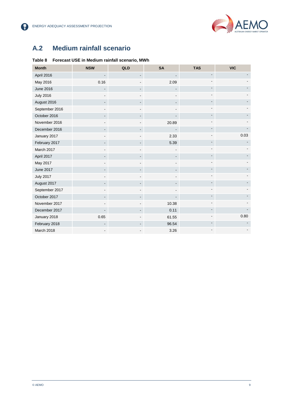

8

### <span id="page-10-0"></span>**A.2 Medium rainfall scenario**

#### **Table 8 Forecast USE in Medium rainfall scenario, MWh**

| <b>Month</b>     | <b>NSW</b> | QLD                          | <b>SA</b>                    | <b>TAS</b> | <b>VIC</b> |
|------------------|------------|------------------------------|------------------------------|------------|------------|
| April 2016       |            | $\blacksquare$               |                              |            |            |
| May 2016         | 0.16       |                              | 2.09                         |            |            |
| <b>June 2016</b> |            |                              |                              |            |            |
| <b>July 2016</b> |            |                              |                              |            |            |
| August 2016      |            |                              |                              |            |            |
| September 2016   |            |                              |                              |            |            |
| October 2016     |            |                              |                              |            |            |
| November 2016    |            |                              | 20.89                        |            |            |
| December 2016    |            |                              |                              |            |            |
| January 2017     |            |                              | 2.33                         |            | 0.03       |
| February 2017    |            |                              | 5.39                         |            |            |
| March 2017       |            |                              |                              |            |            |
| April 2017       |            |                              | $\overline{\phantom{0}}$     |            |            |
| May 2017         |            |                              | $\qquad \qquad \blacksquare$ |            |            |
| <b>June 2017</b> |            | $\qquad \qquad \blacksquare$ | $\blacksquare$               |            |            |
| <b>July 2017</b> |            |                              |                              |            |            |
| August 2017      |            |                              |                              |            |            |
| September 2017   |            |                              |                              |            |            |
| October 2017     |            |                              |                              |            |            |
| November 2017    |            |                              | 10.38                        |            |            |
| December 2017    |            |                              | 0.11                         |            |            |
| January 2018     | 0.65       |                              | 61.55                        |            | 0.80       |
| February 2018    |            |                              | 96.54                        |            |            |
| March 2018       |            |                              | 3.26                         |            |            |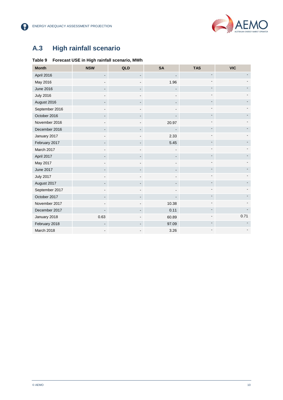

8

### <span id="page-11-0"></span>**A.3 High rainfall scenario**

#### **Table 9 Forecast USE in High rainfall scenario, MWh**

| <b>Month</b>     | <b>NSW</b> | QLD | <b>SA</b> | <b>TAS</b>               | <b>VIC</b> |
|------------------|------------|-----|-----------|--------------------------|------------|
| April 2016       |            |     |           |                          |            |
| May 2016         |            |     | 1.96      |                          |            |
| <b>June 2016</b> |            |     |           |                          |            |
| <b>July 2016</b> |            |     |           |                          |            |
| August 2016      |            |     |           |                          |            |
| September 2016   |            |     |           |                          |            |
| October 2016     |            |     |           |                          |            |
| November 2016    |            |     | 20.97     |                          |            |
| December 2016    |            |     |           |                          |            |
| January 2017     |            |     | 2.33      |                          |            |
| February 2017    |            |     | 5.45      |                          |            |
| March 2017       |            |     |           |                          |            |
| April 2017       |            |     |           |                          |            |
| May 2017         |            |     |           |                          |            |
| <b>June 2017</b> |            |     |           | $\overline{\phantom{a}}$ |            |
| <b>July 2017</b> |            |     |           |                          |            |
| August 2017      |            |     |           | $\overline{a}$           |            |
| September 2017   |            |     |           |                          |            |
| October 2017     |            |     |           | $\blacksquare$           |            |
| November 2017    |            |     | 10.38     |                          |            |
| December 2017    |            |     | 0.11      |                          |            |
| January 2018     | 0.63       |     | 60.89     |                          | 0.71       |
| February 2018    |            |     | 97.09     |                          |            |
| March 2018       |            |     | 3.26      |                          |            |